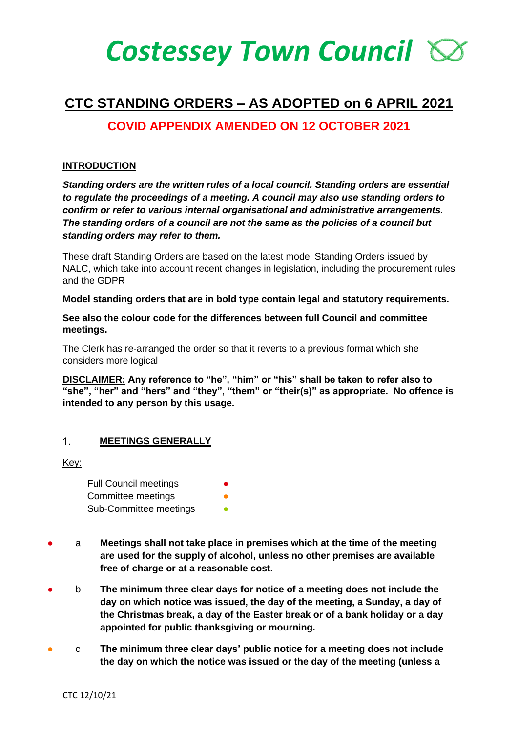# *Costessey Town Council*

## **CTC STANDING ORDERS – AS ADOPTED on 6 APRIL 2021**

## **COVID APPENDIX AMENDED ON 12 OCTOBER 2021**

### **INTRODUCTION**

*Standing orders are the written rules of a local council. Standing orders are essential to regulate the proceedings of a meeting. A council may also use standing orders to confirm or refer to various internal organisational and administrative arrangements. The standing orders of a council are not the same as the policies of a council but standing orders may refer to them.* 

These draft Standing Orders are based on the latest model Standing Orders issued by NALC, which take into account recent changes in legislation, including the procurement rules and the GDPR

**Model standing orders that are in bold type contain legal and statutory requirements.** 

**See also the colour code for the differences between full Council and committee meetings.**

The Clerk has re-arranged the order so that it reverts to a previous format which she considers more logical

**DISCLAIMER: Any reference to "he", "him" or "his" shall be taken to refer also to "she", "her" and "hers" and "they", "them" or "their(s)" as appropriate. No offence is intended to any person by this usage.**

#### $1<sub>1</sub>$ **MEETINGS GENERALLY**

Key:

Full Council meetings Committee meetings Sub-Committee meetings

- a **Meetings shall not take place in premises which at the time of the meeting are used for the supply of alcohol, unless no other premises are available free of charge or at a reasonable cost.**
- b **The minimum three clear days for notice of a meeting does not include the day on which notice was issued, the day of the meeting, a Sunday, a day of the Christmas break, a day of the Easter break or of a bank holiday or a day appointed for public thanksgiving or mourning.**
- c **The minimum three clear days' public notice for a meeting does not include the day on which the notice was issued or the day of the meeting (unless a**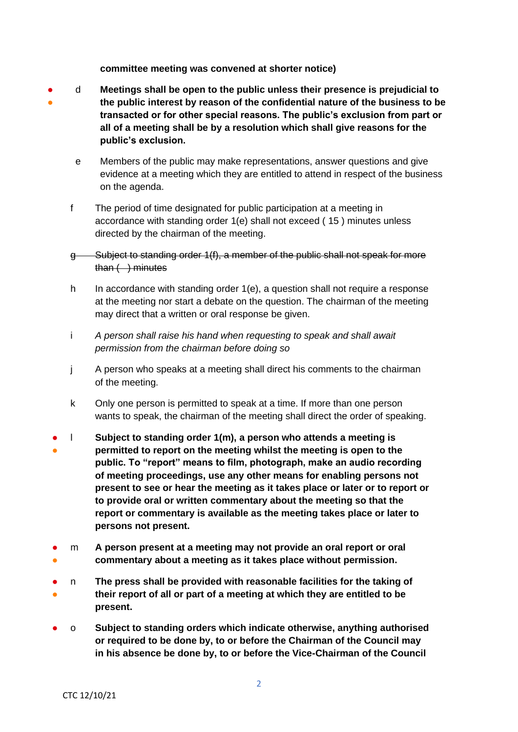**committee meeting was convened at shorter notice)**

- ● d **Meetings shall be open to the public unless their presence is prejudicial to the public interest by reason of the confidential nature of the business to be transacted or for other special reasons. The public's exclusion from part or all of a meeting shall be by a resolution which shall give reasons for the public's exclusion.**
	- e Members of the public may make representations, answer questions and give evidence at a meeting which they are entitled to attend in respect of the business on the agenda.
	- f The period of time designated for public participation at a meeting in accordance with standing order 1(e) shall not exceed ( 15 ) minutes unless directed by the chairman of the meeting.
	- g Subject to standing order 1(f), a member of the public shall not speak for more  $than ( ) minutes$
	- h In accordance with standing order 1(e), a question shall not require a response at the meeting nor start a debate on the question. The chairman of the meeting may direct that a written or oral response be given.
	- i *A person shall raise his hand when requesting to speak and shall await permission from the chairman before doing so*
	- j A person who speaks at a meeting shall direct his comments to the chairman of the meeting.
	- k Only one person is permitted to speak at a time. If more than one person wants to speak, the chairman of the meeting shall direct the order of speaking.
	- ● l **Subject to standing order 1(m), a person who attends a meeting is permitted to report on the meeting whilst the meeting is open to the public. To "report" means to film, photograph, make an audio recording of meeting proceedings, use any other means for enabling persons not present to see or hear the meeting as it takes place or later or to report or to provide oral or written commentary about the meeting so that the report or commentary is available as the meeting takes place or later to persons not present.**
	- ● m **A person present at a meeting may not provide an oral report or oral commentary about a meeting as it takes place without permission.**
	- ● n **The press shall be provided with reasonable facilities for the taking of their report of all or part of a meeting at which they are entitled to be present.**
	- o **Subject to standing orders which indicate otherwise, anything authorised or required to be done by, to or before the Chairman of the Council may in his absence be done by, to or before the Vice-Chairman of the Council**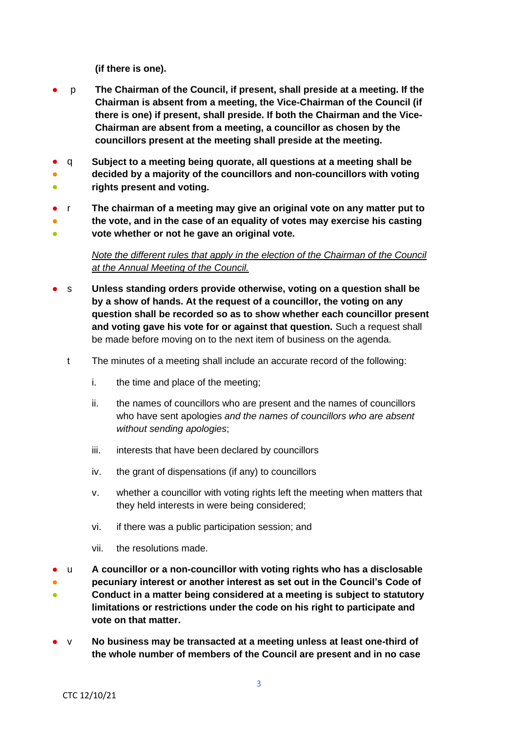**(if there is one).**

- p **The Chairman of the Council, if present, shall preside at a meeting. If the Chairman is absent from a meeting, the Vice-Chairman of the Council (if there is one) if present, shall preside. If both the Chairman and the Vice-Chairman are absent from a meeting, a councillor as chosen by the councillors present at the meeting shall preside at the meeting.**
- ● ● q **Subject to a meeting being quorate, all questions at a meeting shall be decided by a majority of the councillors and non-councillors with voting rights present and voting.**
- ● r **The chairman of a meeting may give an original vote on any matter put to the vote, and in the case of an equality of votes may exercise his casting**
- **vote whether or not he gave an original vote.**

## *Note the different rules that apply in the election of the Chairman of the Council at the Annual Meeting of the Council.*

- s **Unless standing orders provide otherwise, voting on a question shall be by a show of hands. At the request of a councillor, the voting on any question shall be recorded so as to show whether each councillor present and voting gave his vote for or against that question.** Such a request shall be made before moving on to the next item of business on the agenda.
	- t The minutes of a meeting shall include an accurate record of the following:
		- i. the time and place of the meeting;
		- ii. the names of councillors who are present and the names of councillors who have sent apologies *and the names of councillors who are absent without sending apologies*;
		- iii. interests that have been declared by councillors
		- iv. the grant of dispensations (if any) to councillors
		- v. whether a councillor with voting rights left the meeting when matters that they held interests in were being considered;
		- vi. if there was a public participation session; and
		- vii. the resolutions made.
- ● ● u **A councillor or a non-councillor with voting rights who has a disclosable pecuniary interest or another interest as set out in the Council's Code of Conduct in a matter being considered at a meeting is subject to statutory limitations or restrictions under the code on his right to participate and vote on that matter.**
- v **No business may be transacted at a meeting unless at least one-third of the whole number of members of the Council are present and in no case**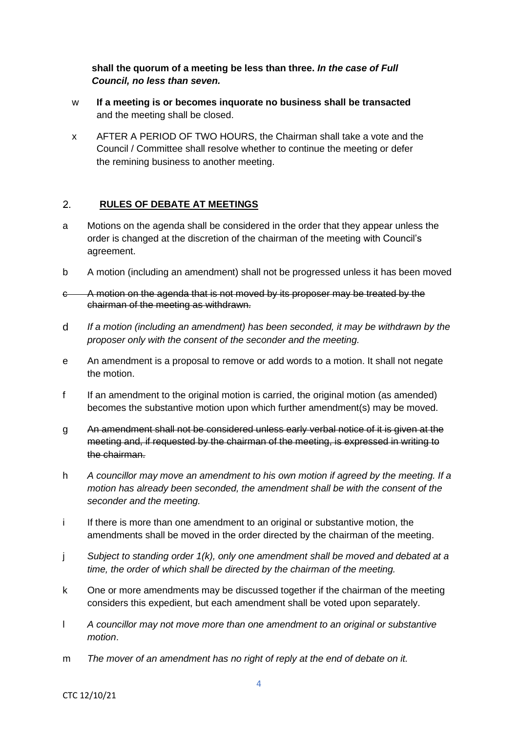**shall the quorum of a meeting be less than three.** *In the case of Full Council, no less than seven.*

- w **If a meeting is or becomes inquorate no business shall be transacted** and the meeting shall be closed.
- x AFTER A PERIOD OF TWO HOURS, the Chairman shall take a vote and the Council / Committee shall resolve whether to continue the meeting or defer the remining business to another meeting.

#### $2.$ **RULES OF DEBATE AT MEETINGS**

- a Motions on the agenda shall be considered in the order that they appear unless the order is changed at the discretion of the chairman of the meeting with Council's agreement.
- b A motion (including an amendment) shall not be progressed unless it has been moved
- c A motion on the agenda that is not moved by its proposer may be treated by the chairman of the meeting as withdrawn.
- d *If a motion (including an amendment) has been seconded, it may be withdrawn by the proposer only with the consent of the seconder and the meeting.*
- e An amendment is a proposal to remove or add words to a motion. It shall not negate the motion.
- f If an amendment to the original motion is carried, the original motion (as amended) becomes the substantive motion upon which further amendment(s) may be moved.
- g An amendment shall not be considered unless early verbal notice of it is given at the meeting and, if requested by the chairman of the meeting, is expressed in writing to the chairman.
- h *A councillor may move an amendment to his own motion if agreed by the meeting. If a motion has already been seconded, the amendment shall be with the consent of the seconder and the meeting.*
- i If there is more than one amendment to an original or substantive motion, the amendments shall be moved in the order directed by the chairman of the meeting.
- j *Subject to standing order 1(k), only one amendment shall be moved and debated at a time, the order of which shall be directed by the chairman of the meeting.*
- k One or more amendments may be discussed together if the chairman of the meeting considers this expedient, but each amendment shall be voted upon separately.
- l *A councillor may not move more than one amendment to an original or substantive motion*.
- m *The mover of an amendment has no right of reply at the end of debate on it.*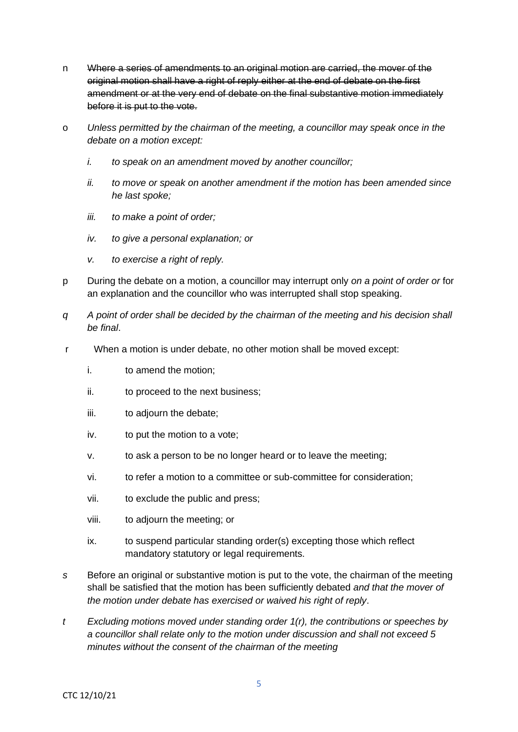- n Where a series of amendments to an original motion are carried, the mover of the original motion shall have a right of reply either at the end of debate on the first amendment or at the very end of debate on the final substantive motion immediately before it is put to the vote.
- o *Unless permitted by the chairman of the meeting, a councillor may speak once in the debate on a motion except:*
	- *i. to speak on an amendment moved by another councillor;*
	- *ii. to move or speak on another amendment if the motion has been amended since he last spoke;*
	- *iii. to make a point of order;*
	- *iv. to give a personal explanation; or*
	- *v. to exercise a right of reply.*
- p During the debate on a motion, a councillor may interrupt only *on a point of order or* for an explanation and the councillor who was interrupted shall stop speaking.
- *q A point of order shall be decided by the chairman of the meeting and his decision shall be final*.
- r When a motion is under debate, no other motion shall be moved except:
	- i. to amend the motion;
	- ii. to proceed to the next business;
	- iii. to adjourn the debate;
	- iv. to put the motion to a vote;
	- v. to ask a person to be no longer heard or to leave the meeting;
	- vi. to refer a motion to a committee or sub-committee for consideration;
	- vii. to exclude the public and press;
	- viii. to adjourn the meeting; or
	- ix. to suspend particular standing order(s) excepting those which reflect mandatory statutory or legal requirements.
- *s* Before an original or substantive motion is put to the vote, the chairman of the meeting shall be satisfied that the motion has been sufficiently debated *and that the mover of the motion under debate has exercised or waived his right of reply*.
- *t Excluding motions moved under standing order 1(r), the contributions or speeches by a councillor shall relate only to the motion under discussion and shall not exceed 5 minutes without the consent of the chairman of the meeting*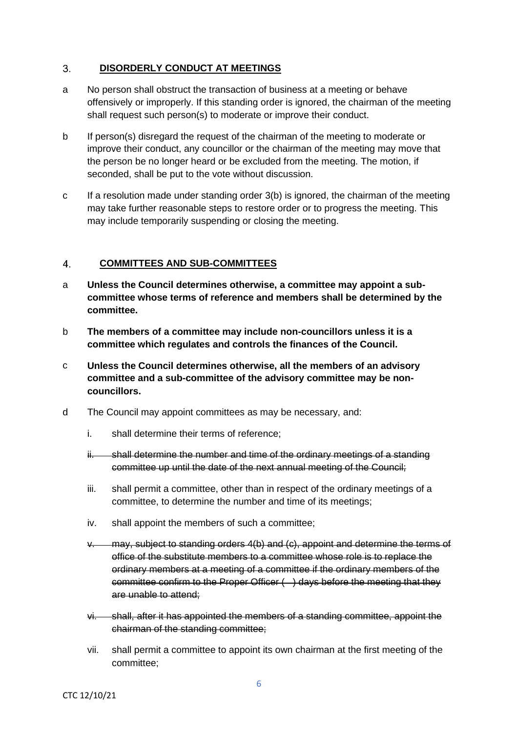#### $3<sub>1</sub>$ **DISORDERLY CONDUCT AT MEETINGS**

- a No person shall obstruct the transaction of business at a meeting or behave offensively or improperly. If this standing order is ignored, the chairman of the meeting shall request such person(s) to moderate or improve their conduct.
- b If person(s) disregard the request of the chairman of the meeting to moderate or improve their conduct, any councillor or the chairman of the meeting may move that the person be no longer heard or be excluded from the meeting. The motion, if seconded, shall be put to the vote without discussion.
- c If a resolution made under standing order 3(b) is ignored, the chairman of the meeting may take further reasonable steps to restore order or to progress the meeting. This may include temporarily suspending or closing the meeting.

#### $\overline{4}$ **COMMITTEES AND SUB-COMMITTEES**

- a **Unless the Council determines otherwise, a committee may appoint a subcommittee whose terms of reference and members shall be determined by the committee.**
- b **The members of a committee may include non-councillors unless it is a committee which regulates and controls the finances of the Council.**
- c **Unless the Council determines otherwise, all the members of an advisory committee and a sub-committee of the advisory committee may be noncouncillors.**
- d The Council may appoint committees as may be necessary, and:
	- i. shall determine their terms of reference;
	- ii. shall determine the number and time of the ordinary meetings of a standing committee up until the date of the next annual meeting of the Council;
	- iii. shall permit a committee, other than in respect of the ordinary meetings of a committee, to determine the number and time of its meetings;
	- iv. shall appoint the members of such a committee;
	- v. may, subject to standing orders 4(b) and (c), appoint and determine the terms of office of the substitute members to a committee whose role is to replace the ordinary members at a meeting of a committee if the ordinary members of the committee confirm to the Proper Officer ( ) days before the meeting that they are unable to attend;
	- vi. shall, after it has appointed the members of a standing committee, appoint the chairman of the standing committee;
	- vii. shall permit a committee to appoint its own chairman at the first meeting of the committee;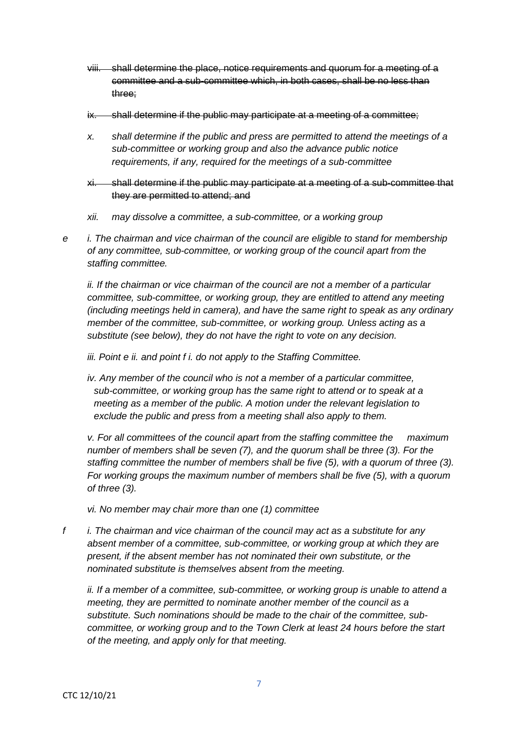- viii. shall determine the place, notice requirements and quorum for a meeting of a committee and a sub-committee which, in both cases, shall be no less than three;
- ix. shall determine if the public may participate at a meeting of a committee;
- *x. shall determine if the public and press are permitted to attend the meetings of a sub-committee or working group and also the advance public notice requirements, if any, required for the meetings of a sub-committee*
- xi. shall determine if the public may participate at a meeting of a sub-committee that they are permitted to attend; and
- *xii. may dissolve a committee, a sub-committee, or a working group*
- *e i. The chairman and vice chairman of the council are eligible to stand for membership of any committee, sub-committee, or working group of the council apart from the staffing committee.*

*ii. If the chairman or vice chairman of the council are not a member of a particular committee, sub-committee, or working group, they are entitled to attend any meeting (including meetings held in camera), and have the same right to speak as any ordinary member of the committee, sub-committee, or working group. Unless acting as a substitute (see below), they do not have the right to vote on any decision.*

*iii. Point e ii. and point f i. do not apply to the Staffing Committee.*

*iv. Any member of the council who is not a member of a particular committee, sub-committee, or working group has the same right to attend or to speak at a meeting as a member of the public. A motion under the relevant legislation to exclude the public and press from a meeting shall also apply to them.*

*v. For all committees of the council apart from the staffing committee the maximum number of members shall be seven (7), and the quorum shall be three (3). For the staffing committee the number of members shall be five (5), with a quorum of three (3). For working groups the maximum number of members shall be five (5), with a quorum of three (3).*

*vi. No member may chair more than one (1) committee*

*f i. The chairman and vice chairman of the council may act as a substitute for any absent member of a committee, sub-committee, or working group at which they are present, if the absent member has not nominated their own substitute, or the nominated substitute is themselves absent from the meeting.*

*ii. If a member of a committee, sub-committee, or working group is unable to attend a meeting, they are permitted to nominate another member of the council as a substitute. Such nominations should be made to the chair of the committee, subcommittee, or working group and to the Town Clerk at least 24 hours before the start of the meeting, and apply only for that meeting.*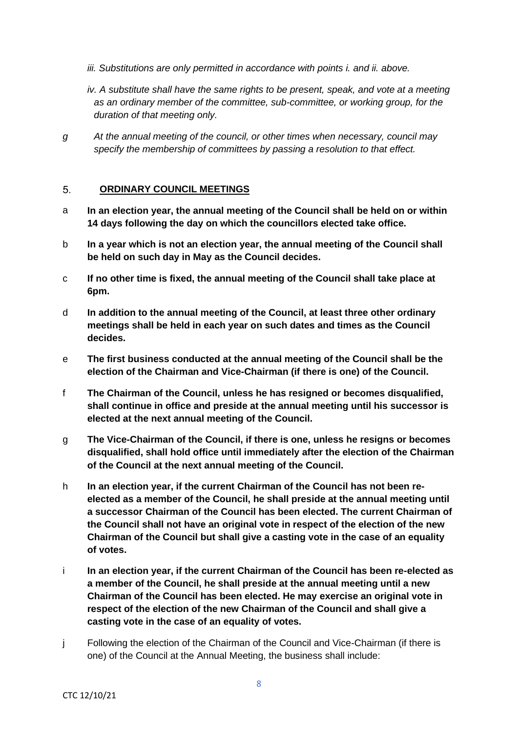- *iii. Substitutions are only permitted in accordance with points i. and ii. above.*
- *iv. A substitute shall have the same rights to be present, speak, and vote at a meeting as an ordinary member of the committee, sub-committee, or working group, for the duration of that meeting only.*
- *g At the annual meeting of the council, or other times when necessary, council may specify the membership of committees by passing a resolution to that effect.*

#### 5. **ORDINARY COUNCIL MEETINGS**

- a **In an election year, the annual meeting of the Council shall be held on or within 14 days following the day on which the councillors elected take office.**
- b **In a year which is not an election year, the annual meeting of the Council shall be held on such day in May as the Council decides.**
- c **If no other time is fixed, the annual meeting of the Council shall take place at 6pm.**
- d **In addition to the annual meeting of the Council, at least three other ordinary meetings shall be held in each year on such dates and times as the Council decides.**
- e **The first business conducted at the annual meeting of the Council shall be the election of the Chairman and Vice-Chairman (if there is one) of the Council.**
- f **The Chairman of the Council, unless he has resigned or becomes disqualified, shall continue in office and preside at the annual meeting until his successor is elected at the next annual meeting of the Council.**
- g **The Vice-Chairman of the Council, if there is one, unless he resigns or becomes disqualified, shall hold office until immediately after the election of the Chairman of the Council at the next annual meeting of the Council.**
- h **In an election year, if the current Chairman of the Council has not been reelected as a member of the Council, he shall preside at the annual meeting until a successor Chairman of the Council has been elected. The current Chairman of the Council shall not have an original vote in respect of the election of the new Chairman of the Council but shall give a casting vote in the case of an equality of votes.**
- i **In an election year, if the current Chairman of the Council has been re-elected as a member of the Council, he shall preside at the annual meeting until a new Chairman of the Council has been elected. He may exercise an original vote in respect of the election of the new Chairman of the Council and shall give a casting vote in the case of an equality of votes.**
- j Following the election of the Chairman of the Council and Vice-Chairman (if there is one) of the Council at the Annual Meeting, the business shall include: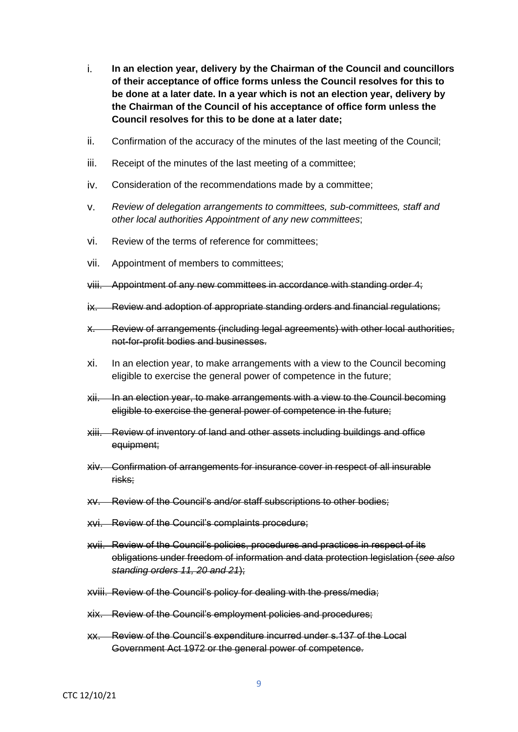- i. **In an election year, delivery by the Chairman of the Council and councillors of their acceptance of office forms unless the Council resolves for this to be done at a later date. In a year which is not an election year, delivery by the Chairman of the Council of his acceptance of office form unless the Council resolves for this to be done at a later date;**
- ii. Confirmation of the accuracy of the minutes of the last meeting of the Council;
- iii. Receipt of the minutes of the last meeting of a committee;
- iv. Consideration of the recommendations made by a committee;
- v. *Review of delegation arrangements to committees, sub-committees, staff and other local authorities Appointment of any new committees*;
- vi. Review of the terms of reference for committees;
- vii. Appointment of members to committees;
- viii. Appointment of any new committees in accordance with standing order 4;
- ix. Review and adoption of appropriate standing orders and financial regulations;
- x. Review of arrangements (including legal agreements) with other local authorities, not-for-profit bodies and businesses.
- xi. In an election year, to make arrangements with a view to the Council becoming eligible to exercise the general power of competence in the future;
- xii. In an election year, to make arrangements with a view to the Council becoming eligible to exercise the general power of competence in the future;
- xiii. Review of inventory of land and other assets including buildings and office equipment;
- xiv. Confirmation of arrangements for insurance cover in respect of all insurable risks;
- xv. Review of the Council's and/or staff subscriptions to other bodies;
- xvi. Review of the Council's complaints procedure;
- xvii. Review of the Council's policies, procedures and practices in respect of its obligations under freedom of information and data protection legislation (*see also standing orders 11, 20 and 21*);
- xviii. Review of the Council's policy for dealing with the press/media;
- xix. Review of the Council's employment policies and procedures;
- xx. Review of the Council's expenditure incurred under s.137 of the Local Government Act 1972 or the general power of competence.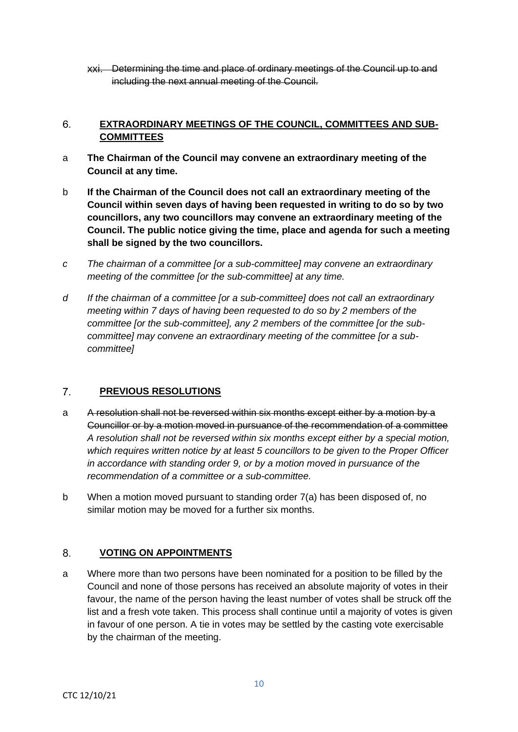xxi. Determining the time and place of ordinary meetings of the Council up to and including the next annual meeting of the Council.

#### $6.$ **EXTRAORDINARY MEETINGS OF THE COUNCIL, COMMITTEES AND SUB-COMMITTEES**

- a **The Chairman of the Council may convene an extraordinary meeting of the Council at any time.**
- b **If the Chairman of the Council does not call an extraordinary meeting of the Council within seven days of having been requested in writing to do so by two councillors, any two councillors may convene an extraordinary meeting of the Council. The public notice giving the time, place and agenda for such a meeting shall be signed by the two councillors.**
- *c The chairman of a committee [or a sub-committee] may convene an extraordinary meeting of the committee [or the sub-committee] at any time.*
- *d If the chairman of a committee [or a sub-committee] does not call an extraordinary meeting within 7 days of having been requested to do so by 2 members of the committee [or the sub-committee], any 2 members of the committee [or the subcommittee] may convene an extraordinary meeting of the committee [or a subcommittee]*

#### $7<sub>1</sub>$ **PREVIOUS RESOLUTIONS**

- a A resolution shall not be reversed within six months except either by a motion by a Councillor or by a motion moved in pursuance of the recommendation of a committee *A resolution shall not be reversed within six months except either by a special motion, which requires written notice by at least 5 councillors to be given to the Proper Officer in accordance with standing order 9, or by a motion moved in pursuance of the recommendation of a committee or a sub-committee.*
- b When a motion moved pursuant to standing order 7(a) has been disposed of, no similar motion may be moved for a further six months.

#### 8. **VOTING ON APPOINTMENTS**

a Where more than two persons have been nominated for a position to be filled by the Council and none of those persons has received an absolute majority of votes in their favour, the name of the person having the least number of votes shall be struck off the list and a fresh vote taken. This process shall continue until a majority of votes is given in favour of one person. A tie in votes may be settled by the casting vote exercisable by the chairman of the meeting.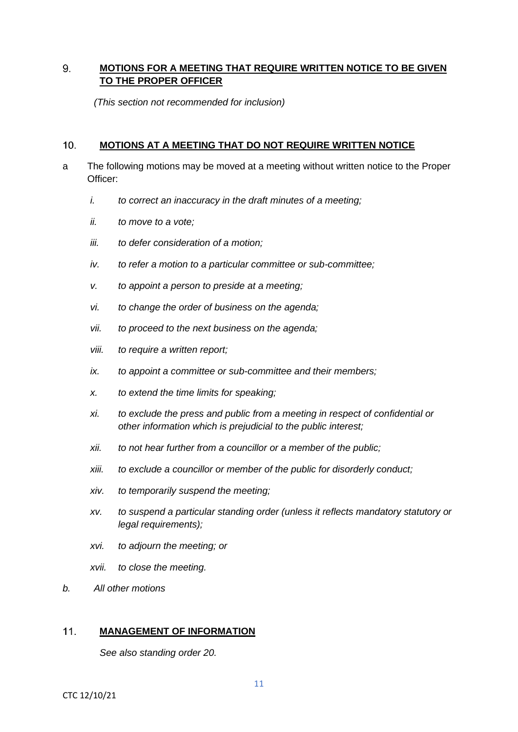#### 9. **MOTIONS FOR A MEETING THAT REQUIRE WRITTEN NOTICE TO BE GIVEN TO THE PROPER OFFICER**

*(This section not recommended for inclusion)*

#### $10.$ **MOTIONS AT A MEETING THAT DO NOT REQUIRE WRITTEN NOTICE**

- a The following motions may be moved at a meeting without written notice to the Proper Officer:
	- *i. to correct an inaccuracy in the draft minutes of a meeting;*
	- *ii. to move to a vote;*
	- *iii. to defer consideration of a motion;*
	- *iv. to refer a motion to a particular committee or sub-committee;*
	- *v. to appoint a person to preside at a meeting;*
	- *vi. to change the order of business on the agenda;*
	- *vii. to proceed to the next business on the agenda;*
	- *viii. to require a written report;*
	- *ix. to appoint a committee or sub-committee and their members;*
	- *x. to extend the time limits for speaking;*
	- *xi. to exclude the press and public from a meeting in respect of confidential or other information which is prejudicial to the public interest;*
	- *xii. to not hear further from a councillor or a member of the public;*
	- *xiii. to exclude a councillor or member of the public for disorderly conduct;*
	- *xiv. to temporarily suspend the meeting;*
	- *xv. to suspend a particular standing order (unless it reflects mandatory statutory or legal requirements);*
	- *xvi. to adjourn the meeting; or*
	- *xvii. to close the meeting.*
- *b. All other motions*

#### $11.$ **MANAGEMENT OF INFORMATION**

*See also standing order 20.*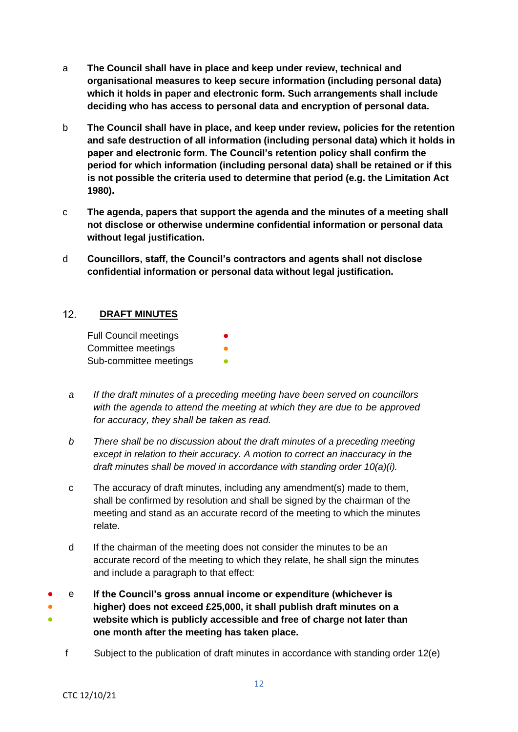- a **The Council shall have in place and keep under review, technical and organisational measures to keep secure information (including personal data) which it holds in paper and electronic form. Such arrangements shall include deciding who has access to personal data and encryption of personal data.**
- b **The Council shall have in place, and keep under review, policies for the retention and safe destruction of all information (including personal data) which it holds in paper and electronic form. The Council's retention policy shall confirm the period for which information (including personal data) shall be retained or if this is not possible the criteria used to determine that period (e.g. the Limitation Act 1980).**
- c **The agenda, papers that support the agenda and the minutes of a meeting shall not disclose or otherwise undermine confidential information or personal data without legal justification.**
- d **Councillors, staff, the Council's contractors and agents shall not disclose confidential information or personal data without legal justification.**

#### $12.$ **DRAFT MINUTES**

| <b>Full Council meetings</b> | $\bullet$ |
|------------------------------|-----------|
| Committee meetings           | O         |
| Sub-committee meetings       |           |

- *a If the draft minutes of a preceding meeting have been served on councillors with the agenda to attend the meeting at which they are due to be approved for accuracy, they shall be taken as read.*
- *b There shall be no discussion about the draft minutes of a preceding meeting except in relation to their accuracy. A motion to correct an inaccuracy in the draft minutes shall be moved in accordance with standing order 10(a)(i).*
- c The accuracy of draft minutes, including any amendment(s) made to them, shall be confirmed by resolution and shall be signed by the chairman of the meeting and stand as an accurate record of the meeting to which the minutes relate.
- d If the chairman of the meeting does not consider the minutes to be an accurate record of the meeting to which they relate, he shall sign the minutes and include a paragraph to that effect:

● ● ● e **If the Council's gross annual income or expenditure (whichever is higher) does not exceed £25,000, it shall publish draft minutes on a website which is publicly accessible and free of charge not later than one month after the meeting has taken place.**

f Subject to the publication of draft minutes in accordance with standing order 12(e)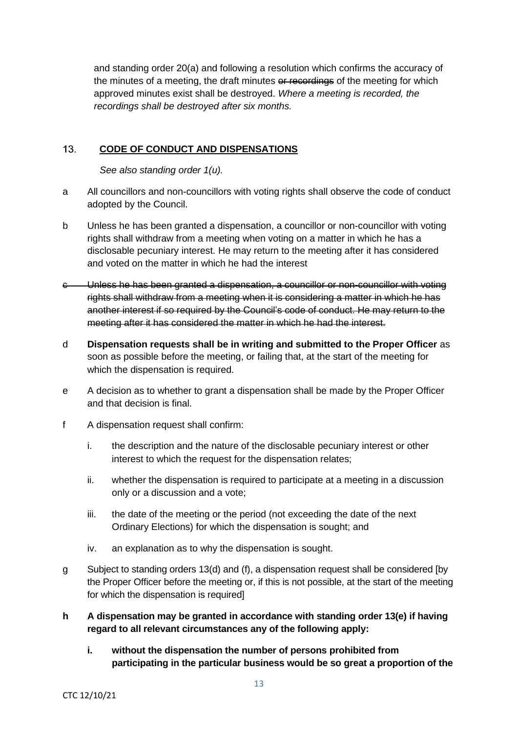and standing order 20(a) and following a resolution which confirms the accuracy of the minutes of a meeting, the draft minutes or recordings of the meeting for which approved minutes exist shall be destroyed. *Where a meeting is recorded, the recordings shall be destroyed after six months.*

#### $13<sup>7</sup>$ **CODE OF CONDUCT AND DISPENSATIONS**

*See also standing order 1(u).* 

- a All councillors and non-councillors with voting rights shall observe the code of conduct adopted by the Council.
- b Unless he has been granted a dispensation, a councillor or non-councillor with voting rights shall withdraw from a meeting when voting on a matter in which he has a disclosable pecuniary interest. He may return to the meeting after it has considered and voted on the matter in which he had the interest
- c Unless he has been granted a dispensation, a councillor or non-councillor with voting rights shall withdraw from a meeting when it is considering a matter in which he has another interest if so required by the Council's code of conduct. He may return to the meeting after it has considered the matter in which he had the interest.
- d **Dispensation requests shall be in writing and submitted to the Proper Officer** as soon as possible before the meeting, or failing that, at the start of the meeting for which the dispensation is required.
- e A decision as to whether to grant a dispensation shall be made by the Proper Officer and that decision is final.
- f A dispensation request shall confirm:
	- i. the description and the nature of the disclosable pecuniary interest or other interest to which the request for the dispensation relates;
	- ii. whether the dispensation is required to participate at a meeting in a discussion only or a discussion and a vote;
	- iii. the date of the meeting or the period (not exceeding the date of the next Ordinary Elections) for which the dispensation is sought; and
	- iv. an explanation as to why the dispensation is sought.
- g Subject to standing orders 13(d) and (f), a dispensation request shall be considered [by the Proper Officer before the meeting or, if this is not possible, at the start of the meeting for which the dispensation is required]
- **h A dispensation may be granted in accordance with standing order 13(e) if having regard to all relevant circumstances any of the following apply:**
	- **i. without the dispensation the number of persons prohibited from participating in the particular business would be so great a proportion of the**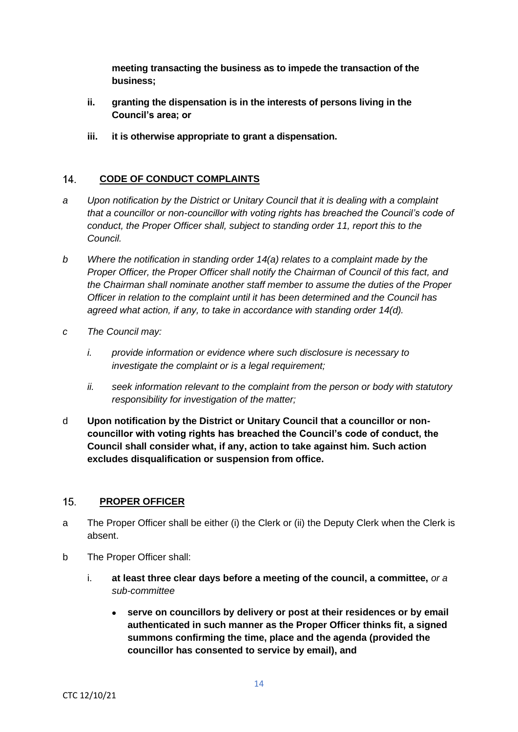**meeting transacting the business as to impede the transaction of the business;** 

- **ii. granting the dispensation is in the interests of persons living in the Council's area; or**
- **iii. it is otherwise appropriate to grant a dispensation.**

#### $14$ **CODE OF CONDUCT COMPLAINTS**

- *a Upon notification by the District or Unitary Council that it is dealing with a complaint that a councillor or non-councillor with voting rights has breached the Council's code of conduct, the Proper Officer shall, subject to standing order 11, report this to the Council.*
- *b Where the notification in standing order 14(a) relates to a complaint made by the Proper Officer, the Proper Officer shall notify the Chairman of Council of this fact, and the Chairman shall nominate another staff member to assume the duties of the Proper Officer in relation to the complaint until it has been determined and the Council has agreed what action, if any, to take in accordance with standing order 14(d).*
- *c The Council may:*
	- *i. provide information or evidence where such disclosure is necessary to investigate the complaint or is a legal requirement;*
	- *ii. seek information relevant to the complaint from the person or body with statutory responsibility for investigation of the matter;*
- d **Upon notification by the District or Unitary Council that a councillor or noncouncillor with voting rights has breached the Council's code of conduct, the Council shall consider what, if any, action to take against him. Such action excludes disqualification or suspension from office.**

#### $15.$ **PROPER OFFICER**

- a The Proper Officer shall be either (i) the Clerk or (ii) the Deputy Clerk when the Clerk is absent.
- b The Proper Officer shall:
	- i. **at least three clear days before a meeting of the council, a committee,** *or a sub-committee*
		- **serve on councillors by delivery or post at their residences or by email authenticated in such manner as the Proper Officer thinks fit, a signed summons confirming the time, place and the agenda (provided the councillor has consented to service by email), and**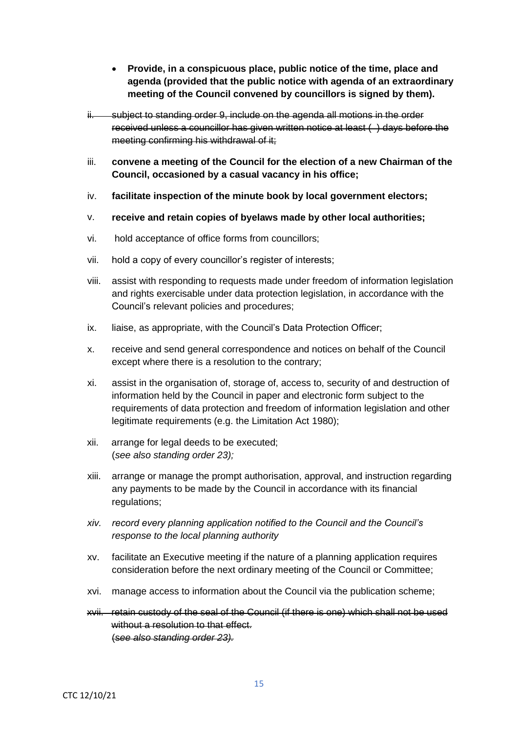- **Provide, in a conspicuous place, public notice of the time, place and agenda (provided that the public notice with agenda of an extraordinary meeting of the Council convened by councillors is signed by them).**
- ii. subject to standing order 9, include on the agenda all motions in the order received unless a councillor has given written notice at least ( ) days before the meeting confirming his withdrawal of it;
- iii. **convene a meeting of the Council for the election of a new Chairman of the Council, occasioned by a casual vacancy in his office;**
- iv. **facilitate inspection of the minute book by local government electors;**
- v. **receive and retain copies of byelaws made by other local authorities;**
- vi. hold acceptance of office forms from councillors;
- vii. hold a copy of every councillor's register of interests;
- viii. assist with responding to requests made under freedom of information legislation and rights exercisable under data protection legislation, in accordance with the Council's relevant policies and procedures;
- ix. liaise, as appropriate, with the Council's Data Protection Officer;
- x. receive and send general correspondence and notices on behalf of the Council except where there is a resolution to the contrary;
- xi. assist in the organisation of, storage of, access to, security of and destruction of information held by the Council in paper and electronic form subject to the requirements of data protection and freedom of information legislation and other legitimate requirements (e.g. the Limitation Act 1980);
- xii. arrange for legal deeds to be executed; (*see also standing order 23);*
- xiii. arrange or manage the prompt authorisation, approval, and instruction regarding any payments to be made by the Council in accordance with its financial regulations;
- *xiv. record every planning application notified to the Council and the Council's response to the local planning authority*
- xv. facilitate an Executive meeting if the nature of a planning application requires consideration before the next ordinary meeting of the Council or Committee;
- xvi. manage access to information about the Council via the publication scheme;
- xvii. retain custody of the seal of the Council (if there is one) which shall not be used without a resolution to that effect. (s*ee also standing order 23).*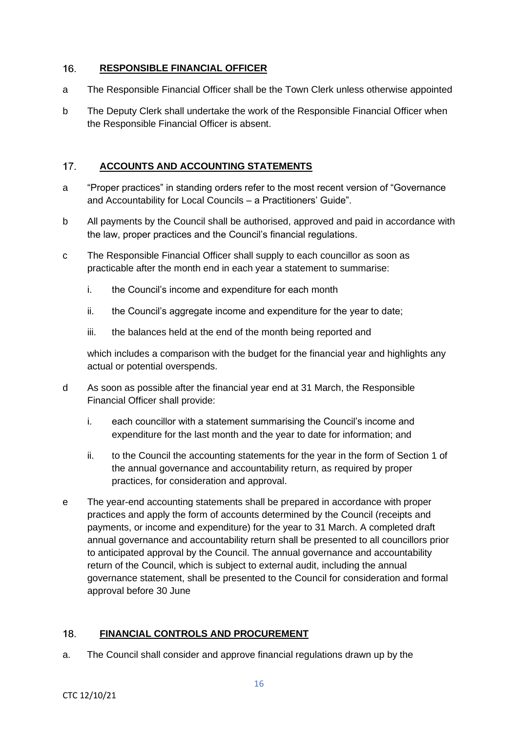#### $16.$ **RESPONSIBLE FINANCIAL OFFICER**

- a The Responsible Financial Officer shall be the Town Clerk unless otherwise appointed
- b The Deputy Clerk shall undertake the work of the Responsible Financial Officer when the Responsible Financial Officer is absent.

#### $17<sub>1</sub>$ **ACCOUNTS AND ACCOUNTING STATEMENTS**

- a "Proper practices" in standing orders refer to the most recent version of "Governance and Accountability for Local Councils – a Practitioners' Guide".
- b All payments by the Council shall be authorised, approved and paid in accordance with the law, proper practices and the Council's financial regulations.
- c The Responsible Financial Officer shall supply to each councillor as soon as practicable after the month end in each year a statement to summarise:
	- i. the Council's income and expenditure for each month
	- ii. the Council's aggregate income and expenditure for the year to date:
	- iii. the balances held at the end of the month being reported and

which includes a comparison with the budget for the financial year and highlights any actual or potential overspends.

- d As soon as possible after the financial year end at 31 March, the Responsible Financial Officer shall provide:
	- i. each councillor with a statement summarising the Council's income and expenditure for the last month and the year to date for information; and
	- ii. to the Council the accounting statements for the year in the form of Section 1 of the annual governance and accountability return, as required by proper practices, for consideration and approval.
- e The year-end accounting statements shall be prepared in accordance with proper practices and apply the form of accounts determined by the Council (receipts and payments, or income and expenditure) for the year to 31 March. A completed draft annual governance and accountability return shall be presented to all councillors prior to anticipated approval by the Council. The annual governance and accountability return of the Council, which is subject to external audit, including the annual governance statement, shall be presented to the Council for consideration and formal approval before 30 June

#### 18. **FINANCIAL CONTROLS AND PROCUREMENT**

a. The Council shall consider and approve financial regulations drawn up by the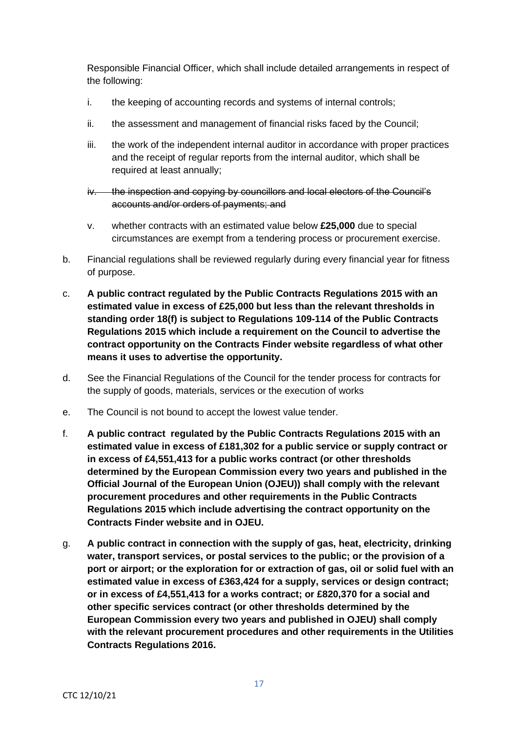Responsible Financial Officer, which shall include detailed arrangements in respect of the following:

- i. the keeping of accounting records and systems of internal controls;
- ii. the assessment and management of financial risks faced by the Council;
- iii. the work of the independent internal auditor in accordance with proper practices and the receipt of regular reports from the internal auditor, which shall be required at least annually;
- iv. the inspection and copying by councillors and local electors of the Council's accounts and/or orders of payments; and
- v. whether contracts with an estimated value below **£25,000** due to special circumstances are exempt from a tendering process or procurement exercise.
- b. Financial regulations shall be reviewed regularly during every financial year for fitness of purpose.
- c. **A public contract regulated by the Public Contracts Regulations 2015 with an estimated value in excess of £25,000 but less than the relevant thresholds in standing order 18(f) is subject to Regulations 109-114 of the Public Contracts Regulations 2015 which include a requirement on the Council to advertise the contract opportunity on the Contracts Finder website regardless of what other means it uses to advertise the opportunity.**
- d. See the Financial Regulations of the Council for the tender process for contracts for the supply of goods, materials, services or the execution of works
- e. The Council is not bound to accept the lowest value tender.
- f. **A public contract regulated by the Public Contracts Regulations 2015 with an estimated value in excess of £181,302 for a public service or supply contract or in excess of £4,551,413 for a public works contract (or other thresholds determined by the European Commission every two years and published in the Official Journal of the European Union (OJEU)) shall comply with the relevant procurement procedures and other requirements in the Public Contracts Regulations 2015 which include advertising the contract opportunity on the Contracts Finder website and in OJEU.**
- g. **A public contract in connection with the supply of gas, heat, electricity, drinking water, transport services, or postal services to the public; or the provision of a port or airport; or the exploration for or extraction of gas, oil or solid fuel with an estimated value in excess of £363,424 for a supply, services or design contract; or in excess of £4,551,413 for a works contract; or £820,370 for a social and other specific services contract (or other thresholds determined by the European Commission every two years and published in OJEU) shall comply with the relevant procurement procedures and other requirements in the Utilities Contracts Regulations 2016.**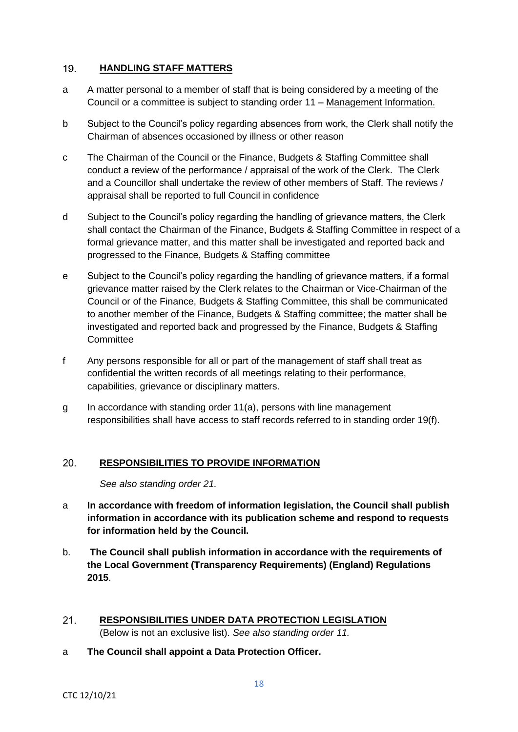#### $19.$ **HANDLING STAFF MATTERS**

- a A matter personal to a member of staff that is being considered by a meeting of the Council or a committee is subject to standing order 11 – Management Information.
- b Subject to the Council's policy regarding absences from work, the Clerk shall notify the Chairman of absences occasioned by illness or other reason
- c The Chairman of the Council or the Finance, Budgets & Staffing Committee shall conduct a review of the performance / appraisal of the work of the Clerk. The Clerk and a Councillor shall undertake the review of other members of Staff. The reviews / appraisal shall be reported to full Council in confidence
- d Subject to the Council's policy regarding the handling of grievance matters, the Clerk shall contact the Chairman of the Finance, Budgets & Staffing Committee in respect of a formal grievance matter, and this matter shall be investigated and reported back and progressed to the Finance, Budgets & Staffing committee
- e Subject to the Council's policy regarding the handling of grievance matters, if a formal grievance matter raised by the Clerk relates to the Chairman or Vice-Chairman of the Council or of the Finance, Budgets & Staffing Committee, this shall be communicated to another member of the Finance, Budgets & Staffing committee; the matter shall be investigated and reported back and progressed by the Finance, Budgets & Staffing **Committee**
- f Any persons responsible for all or part of the management of staff shall treat as confidential the written records of all meetings relating to their performance, capabilities, grievance or disciplinary matters.
- g In accordance with standing order 11(a), persons with line management responsibilities shall have access to staff records referred to in standing order 19(f).

#### $20<sub>1</sub>$ **RESPONSIBILITIES TO PROVIDE INFORMATION**

*See also standing order 21.*

- a **In accordance with freedom of information legislation, the Council shall publish information in accordance with its publication scheme and respond to requests for information held by the Council.**
- b. **The Council shall publish information in accordance with the requirements of the Local Government (Transparency Requirements) (England) Regulations 2015**.
- $21.$ **RESPONSIBILITIES UNDER DATA PROTECTION LEGISLATION**  (Below is not an exclusive list). *See also standing order 11.*
- a **The Council shall appoint a Data Protection Officer.**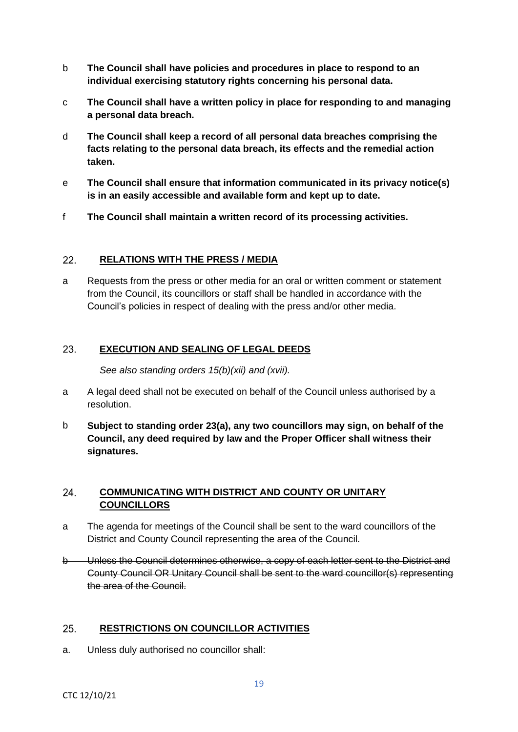- b **The Council shall have policies and procedures in place to respond to an individual exercising statutory rights concerning his personal data.**
- c **The Council shall have a written policy in place for responding to and managing a personal data breach.**
- d **The Council shall keep a record of all personal data breaches comprising the facts relating to the personal data breach, its effects and the remedial action taken.**
- e **The Council shall ensure that information communicated in its privacy notice(s) is in an easily accessible and available form and kept up to date.**
- f **The Council shall maintain a written record of its processing activities.**

#### 22. **RELATIONS WITH THE PRESS / MEDIA**

a Requests from the press or other media for an oral or written comment or statement from the Council, its councillors or staff shall be handled in accordance with the Council's policies in respect of dealing with the press and/or other media.

#### 23. **EXECUTION AND SEALING OF LEGAL DEEDS**

*See also standing orders 15(b)(xii) and (xvii).*

- a A legal deed shall not be executed on behalf of the Council unless authorised by a resolution.
- b **Subject to standing order 23(a), any two councillors may sign, on behalf of the Council, any deed required by law and the Proper Officer shall witness their signatures.**

#### 24. **COMMUNICATING WITH DISTRICT AND COUNTY OR UNITARY COUNCILLORS**

- a The agenda for meetings of the Council shall be sent to the ward councillors of the District and County Council representing the area of the Council.
- b Unless the Council determines otherwise, a copy of each letter sent to the District and County Council OR Unitary Council shall be sent to the ward councillor(s) representing the area of the Council.

#### 25. **RESTRICTIONS ON COUNCILLOR ACTIVITIES**

a. Unless duly authorised no councillor shall: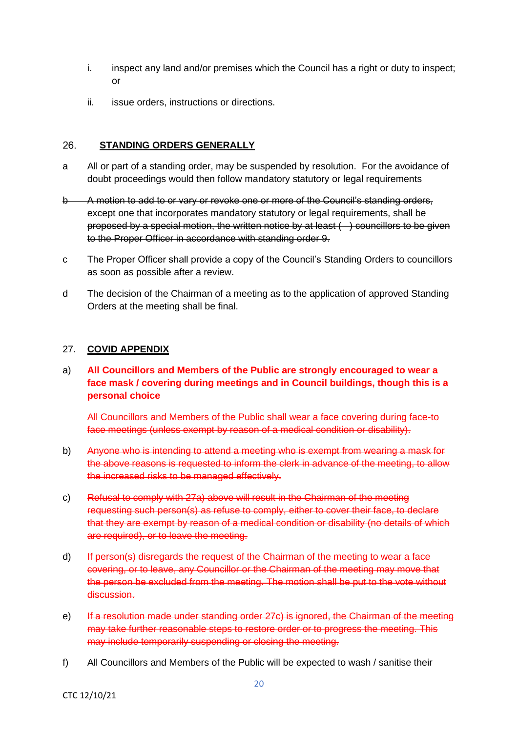- i. inspect any land and/or premises which the Council has a right or duty to inspect; or
- ii. issue orders, instructions or directions.

#### 26. **STANDING ORDERS GENERALLY**

- a All or part of a standing order, may be suspended by resolution. For the avoidance of doubt proceedings would then follow mandatory statutory or legal requirements
- b A motion to add to or vary or revoke one or more of the Council's standing orders, except one that incorporates mandatory statutory or legal requirements, shall be proposed by a special motion, the written notice by at least ( ) councillors to be given to the Proper Officer in accordance with standing order 9.
- c The Proper Officer shall provide a copy of the Council's Standing Orders to councillors as soon as possible after a review.
- d The decision of the Chairman of a meeting as to the application of approved Standing Orders at the meeting shall be final.

## 27. **COVID APPENDIX**

a) **All Councillors and Members of the Public are strongly encouraged to wear a face mask / covering during meetings and in Council buildings, though this is a personal choice**

All Councillors and Members of the Public shall wear a face covering during face-to face meetings (unless exempt by reason of a medical condition or disability).

- b) Anyone who is intending to attend a meeting who is exempt from wearing a mask for the above reasons is requested to inform the clerk in advance of the meeting, to allow the increased risks to be managed effectively.
- c) Refusal to comply with 27a) above will result in the Chairman of the meeting requesting such person(s) as refuse to comply, either to cover their face, to declare that they are exempt by reason of a medical condition or disability (no details of which are required), or to leave the meeting.
- d) If person(s) disregards the request of the Chairman of the meeting to wear a face covering, or to leave, any Councillor or the Chairman of the meeting may move that the person be excluded from the meeting. The motion shall be put to the vote without discussion.
- e) If a resolution made under standing order 27c) is ignored, the Chairman of the meeting may take further reasonable steps to restore order or to progress the meeting. This may include temporarily suspending or closing the meeting.
- f) All Councillors and Members of the Public will be expected to wash / sanitise their